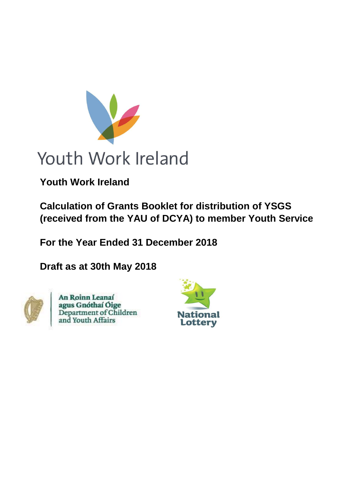

# Youth Work Ireland

**Youth Work Ireland**

**Calculation of Grants Booklet for distribution of YSGS (received from the YAU of DCYA) to member Youth Services**

**For the Year Ended 31 December 2018**

**Draft as at 30th May 2018**



An Roinn Leanaí agus Gnóthaí Óige<br>Department of Children<br>and Youth Affairs

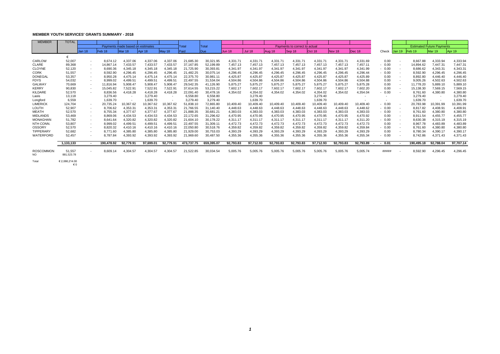# **MEMBER YOUTH SERVICES' GRANTS SUMMARY - 2018**

| <b>MEMBER</b>          | <b>TOTAL</b>         |               |                   |                                  |           |           |            |            |           |               |           |                               |           |           |                |                |                          |                   |                                  |           |
|------------------------|----------------------|---------------|-------------------|----------------------------------|-----------|-----------|------------|------------|-----------|---------------|-----------|-------------------------------|-----------|-----------|----------------|----------------|--------------------------|-------------------|----------------------------------|-----------|
|                        |                      |               |                   | Payments made based on esitmates |           |           | Total      | Total      |           |               |           | Payments to correct to actual |           |           |                |                |                          |                   | <b>Estimated Future Payments</b> |           |
|                        |                      | <b>Jan 18</b> | Feb <sub>18</sub> | Mar 18                           | Apr 18    | May 18    | Paid       | Due        | Jun 18    | <b>Jul 18</b> | Aug 18    | $ $ Sep 18                    | Oct 18    | Nov 18    | $\vert$ Dec 18 | Check          | Jan 19                   | Feb <sub>19</sub> | Mar 19                           | Apr 19    |
|                        | €                    |               |                   |                                  |           |           |            |            |           |               |           |                               |           |           |                |                |                          |                   |                                  |           |
| <b>CARLOW</b>          | 52,007               | $\sim$        | 8,674.12          | 4,337.06                         | 4,337.06  | 4,337.06  | 21,685.30  | 30,321.95  | 4,331.71  | 4,331.71      | 4,331.71  | 4,331.71                      | 4,331.71  | 4,331.71  | 4,331.69       | 0.00           | $\sim$                   | 8,667.88          | 4,333.94                         | 4,333.94  |
| <b>CLARE</b>           | 89,368               | $\sim$        | 14,867.14         | 7,433.57                         | 7,433.57  | 7,433.57  | 37,167.85  | 52,199.89  | 7,457.13  | 7,457.13      | 7,457.13  | 7,457.13                      | 7,457.13  | 7,457.13  | 7,457.11       | 0.00           | $\sim$                   | 14,894.62         | 7,447.31                         | 7,447.31  |
| <b>CLOYNE</b>          | 52,120               | $\sim$        | 8,690.36          | 4,345.18                         | 4,345.18  | 4,345.18  | 21,725.90  | 30,393.81  | 4,341.97  | 4,341.97      | 4,341.97  | 4,341.97                      | 4,341.97  | 4,341.97  | 4,341.99       | $-0.00$        |                          | 8,686.62          | 4,343.31                         | 4,343.31  |
| <b>CORK</b>            | 51,557               | $\sim$        | 8,592.90          | 4,296.45                         | 4,296.45  | 4,296.45  | 21,482.25  | 30,075.14  | 4,296.45  | 4,296.45      | 4,296.45  | 4,296.45                      | 4,296.45  | 4,296.45  | 4,296.44       | $-0.00$        | $\sim$                   | 8,592.90          | 4,296.45                         | 4,296.45  |
| <b>DONEGAL</b>         | 53,357               | $\sim$        | 8,950.28          | 4,475.14                         | 4,475.14  | 4,475.14  | 22,375.70  | 30,981.11  | 4,425.87  | 4,425.87      | 4,425.87  | 4,425.87                      | 4,425.87  | 4,425.87  | 4,425.89       | 0.00           | $\sim$                   | 8,892.80          | 4,446.40                         | 4,446.40  |
| <b>FDYS</b>            | 54,032               | $\sim$        | 8,999.02          | 4,499.51                         | 4,499.51  | 4,499.51  | 22,497.55  | 31,534.04  | 4,504.86  | 4,504.86      | 4,504.86  | 4,504.86                      | 4,504.86  | 4,504.86  | 4,504.88       | 0.00           | $\sim$                   | 9,005.26          | 4,502.63                         | 4,502.63  |
| <b>GALWAY</b>          | 70,669               | $\sim$        | 11,816.94         | 5,908.47                         | 5,908.47  | 5,908.47  | 29,542.35  | 41,126.90  | 5,875.27  | 5,875.27      | 5,875.27  | 5,875.27                      | 5,875.27  | 5,875.27  | 5,875.28       | 0.00           | $\sim$                   | 11,778.20         | 5,889.10                         | 5,889.10  |
| <b>KERRY</b>           | 90,830               | $\sim$        | 15,045.82         | 7,522.91                         | 7,522.91  | 7,522.91  | 37,614.55  | 53,215.22  | 7,602.17  | 7,602.17      | 7,602.17  | 7,602.17                      | 7,602.17  | 7,602.17  | 7,602.20       | 0.00           |                          | 15,138.30         | 7,569.15                         | 7,569.15  |
| <b>KILDARE</b>         | 52,570               | $\sim$        | 8,836.56          | 4,418.28                         | 4,418.28  | 4,418.28  | 22,091.40  | 30,478.16  | 4,354.02  | 4,354.02      | 4,354.02  | 4,354.02                      | 4,354.02  | 4,354.02  | 4,354.04       | 0.00           |                          | 8,761.60          | 4,380.80                         | 4,380.80  |
| Laois                  | 13,118               |               | 3,279.40          | $\sim$                           | 3,279.40  | $\sim$    | 6,558.80   | 6,558.80   |           | 3,279.40      |           |                               | 3,279.40  |           | $\sim$         | $\sim$         |                          | 3,279.40          | $\sim$ $-$                       | 3,279.40  |
| Longford               | 6,559                |               | 1,639.70          | $\sim$                           | 1,639.70  | $\sim$    | 3,279.40   | 3,279.40   |           | 1,639.70      |           |                               | 1,639.70  |           | $\sim$         | $\blacksquare$ |                          | 1,639.70          | $\sim$ $ \sim$                   | 1,639.70  |
| <b>LIMERICK</b>        | 124,704              | $\sim$        | 20,735.24         | 10,367.62                        | 10,367.62 | 10,367.62 | 51,838.10  | 72,865.80  | 10,409.40 | 10,409.40     | 10,409.40 | 10,409.40                     | 10,409.40 | 10,409.40 | 10,409.40      | $-0.00$        | $\overline{\phantom{0}}$ | 20,783.98         | 10,391.99                        | 10,391.99 |
| <b>LOUTH</b>           | 52,907               | $\sim$        | 8,706.62          | 4,353.31                         | 4,353.31  | 4,353.31  | 21,766.55  | 31,140.40  | 4,448.63  | 4,448.63      | 4,448.63  | 4,448.63                      | 4,448.63  | 4,448.63  | 4,448.62       | $-0.00$        |                          | 8,817.82          | 4,408.91                         | 4,408.91  |
| <b>MEATH</b>           | 52,570               | $\sim$ $-$    | 8,755.34          | 4,377.67                         | 4,377.67  | 4,377.67  | 21,888.35  | 30,681.21  | 4,383.03  | 4,383.03      | 4,383.03  | 4,383.03                      | 4,383.03  | 4,383.03  | 4,383.03       | $-0.00$        | $\sim$                   | 8,761.60          | 4,380.80                         | 4,380.80  |
| <b>MIDLANDS</b>        | 53,469               | $\sim$        | 8,869.06          | 4,434.53                         | 4,434.53  | 4,434.53  | 22,172.65  | 31,296.62  | 4,470.95  | 4,470.95      | 4,470.95  | 4,470.95                      | 4,470.95  | 4,470.95  | 4,470.92       | 0.00           | $\sim$                   | 8,911.54          | 4,455.77                         | 4,455.77  |
| <b>MONAGHAN</b>        | 51,782               | $\sim$        | 8,641.64          | 4,320.82                         | 4,320.82  | 4,320.82  | 21,604.10  | 30,178.22  | 4,311.17  | 4,311.17      | 4,311.17  | 4,311.17                      | 4,311.17  | 4,311.17  | 4,311.20       | $-0.00$        | $\sim$                   | 8,630.38          | 4,315.19                         | 4,315.19  |
| <b>NTH CONN</b>        | 53,807               | $\sim$        | 8,999.02          | 4,499.51                         | 4,499.51  | 4,499.51  | 22,497.55  | 31,309.11  | 4,472.73  | 4,472.73      | 4,472.73  | 4,472.73                      | 4,472.73  | 4,472.73  | 4,472.73       | 0.00           | $\overline{\phantom{0}}$ | 8,967.78          | 4,483.89                         | 4,483.89  |
| <b>OSSORY</b>          | 52,570               | $\sim$        | 8,820.32          | 4,410.16                         | 4,410.16  | 4,410.16  | 22,050.80  | 30,518.76  | 4,359.82  | 4,359.82      | 4,359.82  | 4,359.82                      | 4,359.82  | 4,359.82  | 4,359.84       | $-0.00$        | $\sim$                   | 8,761.60          | 4,380.80                         | 4,380.80  |
| <b>TIPPERARY</b>       | 52,682               | $\sim$        | 8,771.60          | 4,385.80                         | 4,385.80  | 4,385.80  | 21,929.00  | 30,753.03  | 4,393.29  | 4,393.29      | 4,393.29  | 4,393.29                      | 4,393.29  | 4,393.29  | 4,393.29       | 0.00           | $\sim$                   | 8,780.34          | 4,390.17                         | 4,390.17  |
| <b>WATERFORD</b>       | 52,457               | $\sim$        | 8,787.84          | 4,393.92                         | 4,393.92  | 4,393.92  | 21,969.60  | 30,487.50  | 4,355.36  | 4,355.36      | 4,355.36  | 4,355.36                      | 4,355.36  | 4,355.36  | 4,355.34       | $-0.00$        |                          | 8,742.86          | 4,371.43                         | 4,371.43  |
|                        | 1,133,133            | $\sim$        | 190,478.92        | 92,779.91                        | 97,699.01 | 92,779.91 | 473,737.75 | 659,395.07 | 92,793.83 | 97,712.93     | 92,793.83 | 92,793.83                     | 97,712.93 | 92,793.83 | 92,793.89      | 0.01           |                          | 190,495.18        | 92,788.04                        | 97,707.14 |
| <b>ROSCOMMON</b><br>NO | 51,557<br>881,523.78 | $\sim$        | 8,609.14          | 4,304.57                         | 4,304.57  | 4,304.57  | 21,522.85  | 30,034.54  | 5,005.76  | 5,005.76      | 5,005.76  | 5,005.76                      | 5,005.76  | 5,005.76  | 5,005.74       | #####          |                          | 8,592.90          | 4,296.45                         | 4,296.45  |
| Total                  | € 2,066,214.00<br>€0 |               |                   |                                  |           |           |            |            |           |               |           |                               |           |           |                |                |                          |                   |                                  |           |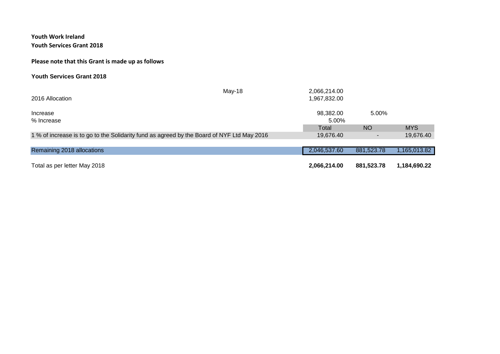**Youth Work Ireland**

#### **Youth Services Grant 2018**

### **Please note that this Grant is made up as follows**

#### **Youth Services Grant 2018**

| 2016 Allocation                                                                            | May-18 | 2,066,214.00<br>1,967,832.00 |            |              |
|--------------------------------------------------------------------------------------------|--------|------------------------------|------------|--------------|
| Increase<br>% Increase                                                                     |        | 98,382.00<br>5.00%           | 5.00%      |              |
|                                                                                            |        | Total                        | <b>NO</b>  | <b>MYS</b>   |
| 1 % of increase is to go to the Solidarity fund as agreed by the Board of NYF Ltd May 2016 |        | 19,676.40                    |            | 19,676.40    |
|                                                                                            |        |                              |            |              |
| Remaining 2018 allocations                                                                 |        | 2,046,537.60                 | 881,523.78 | 1,165,013.82 |
| Total as per letter May 2018                                                               |        | 2,066,214.00                 | 881,523.78 | 1,184,690.22 |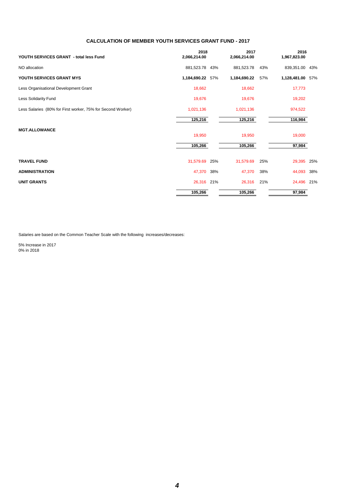| YOUTH SERVICES GRANT - total less Fund                      | 2018<br>2,066,214.00 | 2017<br>2,066,214.00 |     | 2016<br>1,967,823.00 |     |
|-------------------------------------------------------------|----------------------|----------------------|-----|----------------------|-----|
| NO allocation                                               | 881,523.78 43%       | 881,523.78           | 43% | 839,351.00           | 43% |
| YOUTH SERVICES GRANT MYS                                    | 1,184,690.22 57%     | 1,184,690.22         | 57% | 1,128,481.00 57%     |     |
| Less Organisational Development Grant                       | 18,662               | 18,662               |     | 17,773               |     |
| <b>Less Solidarity Fund</b>                                 | 19,676               | 19,676               |     | 19,202               |     |
| Less Salaries (80% for First worker, 75% for Second Worker) | 1,021,136            | 1,021,136            |     | 974,522              |     |
|                                                             | 125,216              | 125,216              |     | 116,984              |     |
| <b>MGT.ALLOWANCE</b>                                        | 19,950               | 19,950               |     | 19,000               |     |
|                                                             | 105,266              | 105,266              |     | 97,984               |     |
| <b>TRAVEL FUND</b>                                          | 31,579.69 25%        | 31,579.69            | 25% | 29,395               | 25% |
| <b>ADMINISTRATION</b>                                       | 47,370 38%           | 47,370               | 38% | 44,093               | 38% |
| <b>UNIT GRANTS</b>                                          | 26,316 21%           | 26,316 21%           |     | 24,496 21%           |     |
|                                                             | 105,266              | 105,266              |     | 97,984               |     |

Salaries are based on the Common Teacher Scale with the following increases/decreases:

5% Increase in 2017 0% in 2018

## **CALCULATION OF MEMBER YOUTH SERVICES GRANT FUND - 2017**

 *4*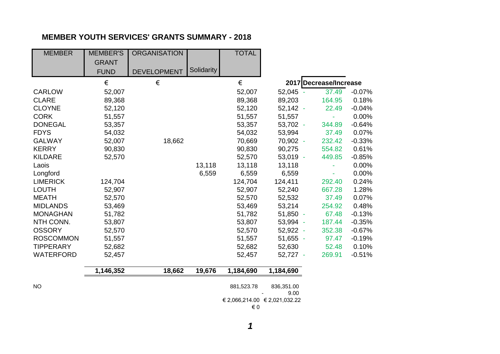# **MEMBER YOUTH SERVICES' GRANTS SUMMARY - 2018**

| <b>MEMBER</b>    | <b>MEMBER'S</b> | <b>ORGANISATION</b> |            | <b>TOTAL</b>                  |                    |                        |          |
|------------------|-----------------|---------------------|------------|-------------------------------|--------------------|------------------------|----------|
|                  | <b>GRANT</b>    |                     |            |                               |                    |                        |          |
|                  | <b>FUND</b>     | <b>DEVELOPMENT</b>  | Solidarity |                               |                    |                        |          |
|                  | €               | $\in$               |            | €                             |                    | 2017 Decrease/Increase |          |
| <b>CARLOW</b>    | 52,007          |                     |            | 52,007                        | 52,045 -           | 37.49                  | $-0.07%$ |
| <b>CLARE</b>     | 89,368          |                     |            | 89,368                        | 89,203             | 164.95                 | 0.18%    |
| <b>CLOYNE</b>    | 52,120          |                     |            | 52,120                        | $52,142 -$         | 22.49                  | $-0.04%$ |
| <b>CORK</b>      | 51,557          |                     |            | 51,557                        | 51,557             |                        | 0.00%    |
| <b>DONEGAL</b>   | 53,357          |                     |            | 53,357                        | 53,702 -           | 344.89                 | $-0.64%$ |
| <b>FDYS</b>      | 54,032          |                     |            | 54,032                        | 53,994             | 37.49                  | 0.07%    |
| <b>GALWAY</b>    | 52,007          | 18,662              |            | 70,669                        | 70,902 -           | 232.42                 | $-0.33%$ |
| <b>KERRY</b>     | 90,830          |                     |            | 90,830                        | 90,275             | 554.82                 | 0.61%    |
| <b>KILDARE</b>   | 52,570          |                     |            | 52,570                        | $53,019 -$         | 449.85                 | $-0.85%$ |
| Laois            |                 |                     | 13,118     | 13,118                        | 13,118             |                        | 0.00%    |
| Longford         |                 |                     | 6,559      | 6,559                         | 6,559              | ÷,                     | 0.00%    |
| <b>LIMERICK</b>  | 124,704         |                     |            | 124,704                       | 124,411            | 292.40                 | 0.24%    |
| <b>LOUTH</b>     | 52,907          |                     |            | 52,907                        | 52,240             | 667.28                 | 1.28%    |
| <b>MEATH</b>     | 52,570          |                     |            | 52,570                        | 52,532             | 37.49                  | 0.07%    |
| <b>MIDLANDS</b>  | 53,469          |                     |            | 53,469                        | 53,214             | 254.92                 | 0.48%    |
| <b>MONAGHAN</b>  | 51,782          |                     |            | 51,782                        | 51,850 -           | 67.48                  | $-0.13%$ |
| NTH CONN.        | 53,807          |                     |            | 53,807                        | 53,994 -           | 187.44                 | $-0.35%$ |
| <b>OSSORY</b>    | 52,570          |                     |            | 52,570                        | 52,922 -           | 352.38                 | $-0.67%$ |
| <b>ROSCOMMON</b> | 51,557          |                     |            | 51,557                        | $51,655 -$         | 97.47                  | $-0.19%$ |
| <b>TIPPERARY</b> | 52,682          |                     |            | 52,682                        | 52,630             | 52.48                  | 0.10%    |
| <b>WATERFORD</b> | 52,457          |                     |            | 52,457                        | 52,727 -           | 269.91                 | $-0.51%$ |
|                  | 1,146,352       | 18,662              | 19,676     | 1,184,690                     | 1,184,690          |                        |          |
| <b>NO</b>        |                 |                     |            | 881,523.78                    | 836,351.00<br>9.00 |                        |          |
|                  |                 |                     |            | € 2,066,214.00 € 2,021,032.22 |                    |                        |          |
|                  |                 |                     |            | € 0                           |                    |                        |          |

 *1*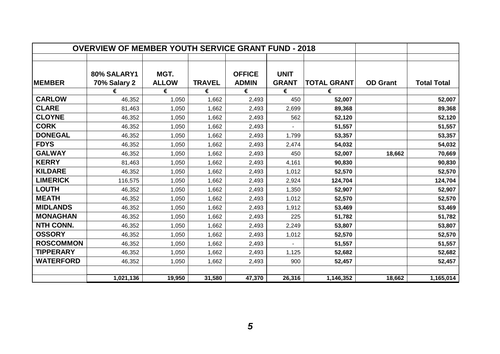|                  | <b>OVERVIEW OF MEMBER YOUTH SERVICE GRANT FUND - 2018</b> |                      |               |                               |                             |                    |                 |                    |
|------------------|-----------------------------------------------------------|----------------------|---------------|-------------------------------|-----------------------------|--------------------|-----------------|--------------------|
|                  |                                                           |                      |               |                               |                             |                    |                 |                    |
| <b>MEMBER</b>    | 80% SALARY1<br>70% Salary 2                               | MGT.<br><b>ALLOW</b> | <b>TRAVEL</b> | <b>OFFICE</b><br><b>ADMIN</b> | <b>UNIT</b><br><b>GRANT</b> | <b>TOTAL GRANT</b> | <b>OD</b> Grant | <b>Total Total</b> |
|                  | €                                                         | €                    | €             | €                             | €                           | €                  |                 |                    |
| <b>CARLOW</b>    | 46,352                                                    | 1,050                | 1,662         | 2,493                         | 450                         | 52,007             |                 | 52,007             |
| <b>CLARE</b>     | 81,463                                                    | 1,050                | 1,662         | 2,493                         | 2,699                       | 89,368             |                 | 89,368             |
| <b>CLOYNE</b>    | 46,352                                                    | 1,050                | 1,662         | 2,493                         | 562                         | 52,120             |                 | 52,120             |
| <b>CORK</b>      | 46,352                                                    | 1,050                | 1,662         | 2,493                         |                             | 51,557             |                 | 51,557             |
| <b>DONEGAL</b>   | 46,352                                                    | 1,050                | 1,662         | 2,493                         | 1,799                       | 53,357             |                 | 53,357             |
| <b>FDYS</b>      | 46,352                                                    | 1,050                | 1,662         | 2,493                         | 2,474                       | 54,032             |                 | 54,032             |
| <b>GALWAY</b>    | 46,352                                                    | 1,050                | 1,662         | 2,493                         | 450                         | 52,007             | 18,662          | 70,669             |
| <b>KERRY</b>     | 81,463                                                    | 1,050                | 1,662         | 2,493                         | 4,161                       | 90,830             |                 | 90,830             |
| <b>KILDARE</b>   | 46,352                                                    | 1,050                | 1,662         | 2,493                         | 1,012                       | 52,570             |                 | 52,570             |
| <b>LIMERICK</b>  | 116,575                                                   | 1,050                | 1,662         | 2,493                         | 2,924                       | 124,704            |                 | 124,704            |
| <b>LOUTH</b>     | 46,352                                                    | 1,050                | 1,662         | 2,493                         | 1,350                       | 52,907             |                 | 52,907             |
| <b>MEATH</b>     | 46,352                                                    | 1,050                | 1,662         | 2,493                         | 1,012                       | 52,570             |                 | 52,570             |
| <b>MIDLANDS</b>  | 46,352                                                    | 1,050                | 1,662         | 2,493                         | 1,912                       | 53,469             |                 | 53,469             |
| <b>MONAGHAN</b>  | 46,352                                                    | 1,050                | 1,662         | 2,493                         | 225                         | 51,782             |                 | 51,782             |
| <b>NTH CONN.</b> | 46,352                                                    | 1,050                | 1,662         | 2,493                         | 2,249                       | 53,807             |                 | 53,807             |
| <b>OSSORY</b>    | 46,352                                                    | 1,050                | 1,662         | 2,493                         | 1,012                       | 52,570             |                 | 52,570             |
| <b>ROSCOMMON</b> | 46,352                                                    | 1,050                | 1,662         | 2,493                         |                             | 51,557             |                 | 51,557             |
| <b>TIPPERARY</b> | 46,352                                                    | 1,050                | 1,662         | 2,493                         | 1,125                       | 52,682             |                 | 52,682             |
| <b>WATERFORD</b> | 46,352                                                    | 1,050                | 1,662         | 2,493                         | 900                         | 52,457             |                 | 52,457             |
|                  |                                                           |                      |               |                               |                             |                    |                 |                    |
|                  | 1,021,136                                                 | 19,950               | 31,580        | 47,370                        | 26,316                      | 1,146,352          | 18,662          | 1,165,014          |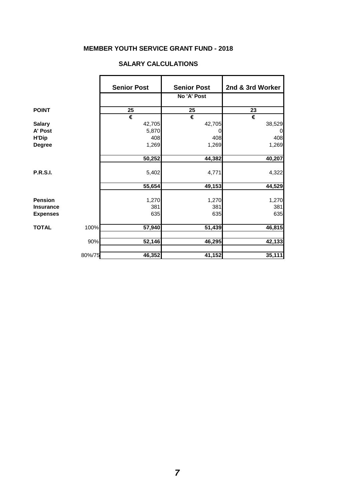# **MEMBER YOUTH SERVICE GRANT FUND - 2018**

### **SALARY CALCULATIONS**

|                  |        | <b>Senior Post</b> | <b>Senior Post</b> | 2nd & 3rd Worker |
|------------------|--------|--------------------|--------------------|------------------|
|                  |        |                    | No 'A' Post        |                  |
| <b>POINT</b>     |        | 25                 | 25                 | 23               |
|                  |        | €                  | €                  | €                |
| <b>Salary</b>    |        | 42,705             | 42,705             | 38,529           |
| A' Post          |        | 5,870              | 0                  | 0                |
| <b>H'Dip</b>     |        | 408                | 408                | 408              |
| <b>Degree</b>    |        | 1,269              | 1,269              | 1,269            |
|                  |        | 50,252             | 44,382             | 40,207           |
|                  |        |                    |                    |                  |
| <b>P.R.S.I.</b>  |        | 5,402              | 4,771              | 4,322            |
|                  |        | 55,654             | 49,153             | 44,529           |
| <b>Pension</b>   |        |                    |                    |                  |
|                  |        | 1,270              | 1,270              | 1,270            |
| <b>Insurance</b> |        | 381                | 381                | 381              |
| <b>Expenses</b>  |        | 635                | 635                | 635              |
| <b>TOTAL</b>     | 100%   | 57,940             | 51,439             | 46,815           |
|                  | 90%    | 52,146             | 46,295             | 42,133           |
|                  | 80%/75 | 46,352             | 41,152             | 35,111           |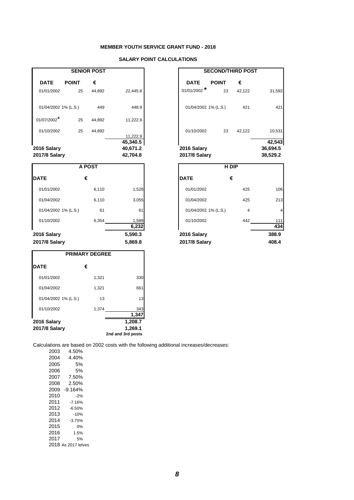|                                     |              | <b>SENIOR POST</b> |                      | <b>SECOND/THIRD POST</b>            |              |        |                      |
|-------------------------------------|--------------|--------------------|----------------------|-------------------------------------|--------------|--------|----------------------|
| <b>DATE</b>                         | <b>POINT</b> | €                  |                      | <b>DATE</b>                         | <b>POINT</b> | €      |                      |
| 01/01/2002                          | 25           | 44,892             | 22,445.8             | $01/01/2002$ <sup>*</sup>           | 23           | 42,122 | 31,592               |
| 01/04/2002 1% (L.S.)                |              | 449                | 448.9                | 01/04/2002 1% (L.S.)                |              | 421    | 421                  |
| 01/07/2002*                         | 25           | 44,892             | 11,222.9             |                                     |              |        |                      |
| 01/10/2002                          | 25           | 44,892             | 11,222.9             | 01/10/2002                          | 23           | 42,122 | 10,531               |
|                                     |              |                    | 45,340.5             |                                     |              |        | 42,543               |
| 2016 Salary<br><b>2017/8 Salary</b> |              |                    | 40,671.2<br>42,704.8 | 2016 Salary<br><b>2017/8 Salary</b> |              |        | 36,694.5<br>38,529.2 |
|                                     |              |                    |                      |                                     |              |        |                      |

|                |                      | H DIP |            |
|----------------|----------------------|-------|------------|
|                | <b>DATE</b>          | €     |            |
| 1,528          | 01/01/2002           | 425   | 106        |
| 3,055          | 01/04/2002           | 425   | 213        |
| 61             | 01/04/2002 1% (L.S.) | 4     |            |
| 1,589<br>6,232 | 01/10/2002           | 442   | 111<br>434 |
| 590.3          | 2016 Salary          |       | 388.9      |
| 869.8          | <b>2017/8 Salary</b> |       | 408.4      |

|                      | <b>A POST</b> |                |                      | H DIP |            |  |  |
|----------------------|---------------|----------------|----------------------|-------|------------|--|--|
| <b>DATE</b>          | €             |                | <b>DATE</b>          | €     |            |  |  |
| 01/01/2002           | 6,110         | 1,528          | 01/01/2002           | 425   | 106        |  |  |
| 01/04/2002           | 6,110         | 3,055          | 01/04/2002           | 425   | 213        |  |  |
| 01/04/2002 1% (L.S.) | 61            | 61             | 01/04/2002 1% (L.S.) | 4     | 4          |  |  |
| 01/10/2002           | 6,354         | 1,589<br>6,232 | 01/10/2002           | 442   | 111<br>434 |  |  |
| 2016 Salary          |               | 5,590.3        | 2016 Salary          |       | 388.9      |  |  |
| <b>2017/8 Salary</b> |               | 5,869.8        | <b>2017/8 Salary</b> |       | 408.4      |  |  |

|            | <b>SENIOR POST</b> |          |                      | <b>SECOND/THIRD POST</b> |        |          |
|------------|--------------------|----------|----------------------|--------------------------|--------|----------|
| <b>INT</b> | €                  |          | <b>DATE</b>          | <b>POINT</b>             | €      |          |
| 25         | 44,892             | 22,445.8 | $01/01/2002$ *       | 23                       | 42,122 | 31,592   |
| $-.S.)$    | 449                | 448.9    | 01/04/2002 1% (L.S.) |                          | 421    | 421      |
| 25         | 44,892             | 11,222.9 |                      |                          |        |          |
| 25         | 44,892             | 11,222.9 | 01/10/2002           | 23                       | 42,122 | 10,531   |
|            |                    | 45,340.5 |                      |                          |        | 42,543   |
|            |                    | 40,671.2 | 2016 Salary          |                          |        | 36,694.5 |
|            |                    | 42,704.8 | <b>2017/8 Salary</b> |                          |        | 38,529.2 |

Calculations are based on 2002 costs with the following additional increases/decreases:

| <b>PRIMARY DEGREE</b> |       |                   |  |  |  |  |  |  |
|-----------------------|-------|-------------------|--|--|--|--|--|--|
| <b>DATE</b>           | €     |                   |  |  |  |  |  |  |
| 01/01/2002            | 1,321 | 330               |  |  |  |  |  |  |
| 01/04/2002            | 1,321 | 661               |  |  |  |  |  |  |
| 01/04/2002 1% (L.S.)  | 13    | 13                |  |  |  |  |  |  |
| 01/10/2002            | 1,374 | 343               |  |  |  |  |  |  |
|                       |       | 1,347             |  |  |  |  |  |  |
| 2016 Salary           |       | 1,208.7           |  |  |  |  |  |  |
| <b>2017/8 Salary</b>  |       | 1,269.1           |  |  |  |  |  |  |
|                       |       | 2nd and 3rd posts |  |  |  |  |  |  |

| 2003 | 4.50% |
|------|-------|
| 2004 | 4.40% |
| 2005 | 5%    |
| 2006 | 5%    |
| 2007 | 7.50% |

| 2008 | 2.50%               |
|------|---------------------|
| 2009 | $-9.164%$           |
| 2010 | $-2%$               |
| 2011 | -7.16%              |
| 2012 | -6.50%              |
| 2013 | $-10%$              |
| 2014 | $-3.75%$            |
| 2015 | 0%                  |
| 2016 | 1.5%                |
| 2017 | 5%                  |
|      | 2018 As 2017 lelves |
|      |                     |

## **MEMBER YOUTH SERVICE GRANT FUND - 2018**

## **SALARY POINT CALCULATIONS**

 *8*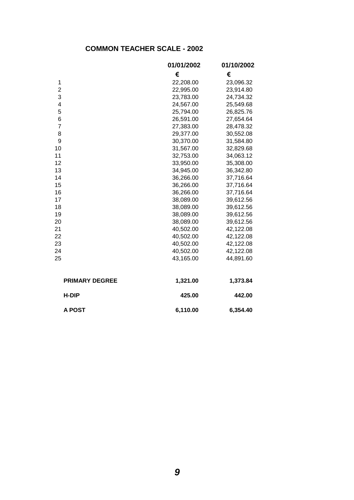## **COMMON TEACHER SCALE - 2002**

|                       | 01/01/2002 | 01/10/2002 |  |  |
|-----------------------|------------|------------|--|--|
|                       | €          | €          |  |  |
| 1                     | 22,208.00  | 23,096.32  |  |  |
| $\overline{c}$        | 22,995.00  | 23,914.80  |  |  |
| 3                     | 23,783.00  | 24,734.32  |  |  |
| 4                     | 24,567.00  | 25,549.68  |  |  |
| 5                     | 25,794.00  | 26,825.76  |  |  |
| 6                     | 26,591.00  | 27,654.64  |  |  |
| $\overline{7}$        | 27,383.00  | 28,478.32  |  |  |
| 8                     | 29,377.00  | 30,552.08  |  |  |
| 9                     | 30,370.00  | 31,584.80  |  |  |
| 10                    | 31,567.00  | 32,829.68  |  |  |
| 11                    | 32,753.00  | 34,063.12  |  |  |
| 12                    | 33,950.00  | 35,308.00  |  |  |
| 13                    | 34,945.00  | 36,342.80  |  |  |
| 14                    | 36,266.00  | 37,716.64  |  |  |
| 15                    | 36,266.00  | 37,716.64  |  |  |
| 16                    | 36,266.00  | 37,716.64  |  |  |
| 17                    | 38,089.00  | 39,612.56  |  |  |
| 18                    | 38,089.00  | 39,612.56  |  |  |
| 19                    | 38,089.00  | 39,612.56  |  |  |
| 20                    | 38,089.00  | 39,612.56  |  |  |
| 21                    | 40,502.00  | 42,122.08  |  |  |
| 22                    | 40,502.00  | 42,122.08  |  |  |
| 23                    | 40,502.00  | 42,122.08  |  |  |
| 24                    | 40,502.00  | 42,122.08  |  |  |
| 25                    | 43,165.00  | 44,891.60  |  |  |
|                       |            |            |  |  |
| <b>PRIMARY DEGREE</b> | 1,321.00   | 1,373.84   |  |  |
| <b>H-DIP</b>          | 425.00     | 442.00     |  |  |
| <b>A POST</b>         | 6,110.00   | 6,354.40   |  |  |